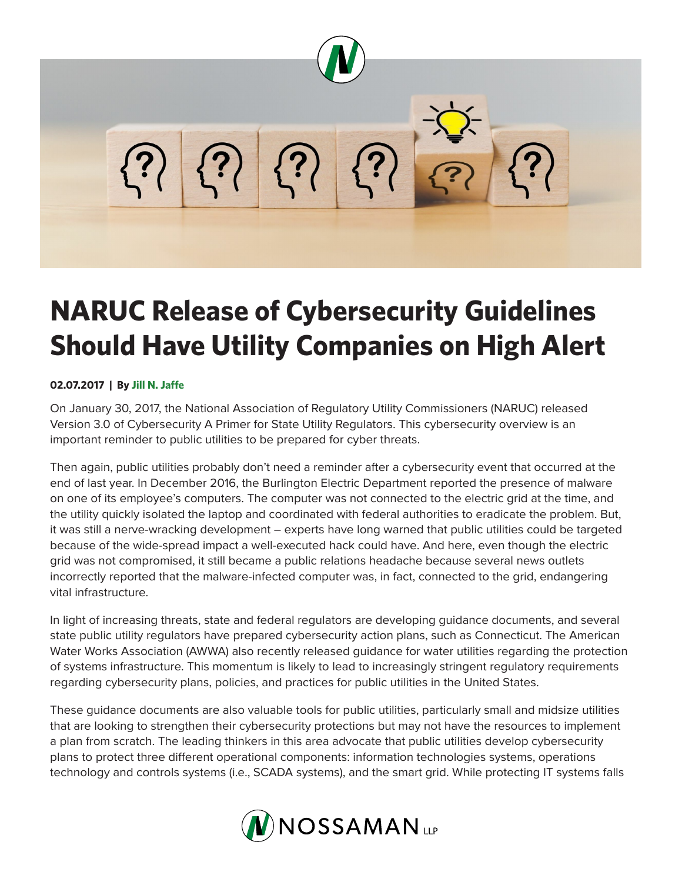

## **NARUC Release of Cybersecurity Guidelines Should Have Utility Companies on High Alert**

## **02.07.2017 | By Jill N. Jaffe**

On January 30, 2017, the National Association of Regulatory Utility Commissioners (NARUC) released Version 3.0 of Cybersecurity A Primer for State Utility Regulators. This cybersecurity overview is an important reminder to public utilities to be prepared for cyber threats.

Then again, public utilities probably don't need a reminder after a cybersecurity event that occurred at the end of last year. In December 2016, the Burlington Electric Department reported the presence of malware on one of its employee's computers. The computer was not connected to the electric grid at the time, and the utility quickly isolated the laptop and coordinated with federal authorities to eradicate the problem. But, it was still a nerve-wracking development – experts have long warned that public utilities could be targeted because of the wide-spread impact a well-executed hack could have. And here, even though the electric grid was not compromised, it still became a public relations headache because several news outlets incorrectly reported that the malware-infected computer was, in fact, connected to the grid, endangering vital infrastructure.

In light of increasing threats, state and federal regulators are developing guidance documents, and several state public utility regulators have prepared cybersecurity action plans, such as Connecticut. The American Water Works Association (AWWA) also recently released guidance for water utilities regarding the protection of systems infrastructure. This momentum is likely to lead to increasingly stringent regulatory requirements regarding cybersecurity plans, policies, and practices for public utilities in the United States.

These guidance documents are also valuable tools for public utilities, particularly small and midsize utilities that are looking to strengthen their cybersecurity protections but may not have the resources to implement a plan from scratch. The leading thinkers in this area advocate that public utilities develop cybersecurity plans to protect three different operational components: information technologies systems, operations technology and controls systems (i.e., SCADA systems), and the smart grid. While protecting IT systems falls